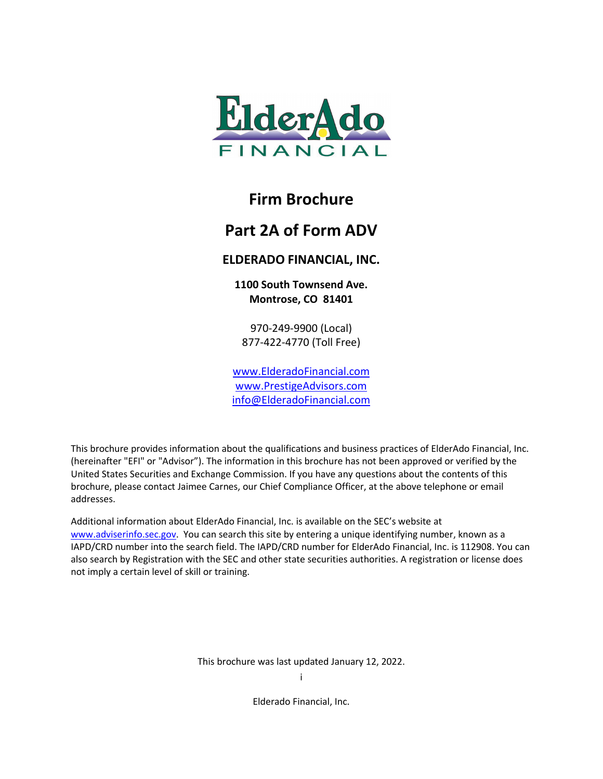

## **Firm Brochure**

## **Part 2A of Form ADV**

## **ELDERADO FINANCIAL, INC.**

**1100 South Townsend Ave. Montrose, CO 81401**

970-249-9900 (Local) 877-422-4770 (Toll Free)

[www.ElderadoFinancial.com](http://www.elderadofinancial.com/) [www.PrestigeAdvisors.com](http://www.prestigeadvisors.com/) [info@ElderadoFinancial.com](mailto:info@ElderadoFinancial.com)

This brochure provides information about the qualifications and business practices of ElderAdo Financial, Inc. (hereinafter "EFI" or "Advisor"). The information in this brochure has not been approved or verified by the United States Securities and Exchange Commission. If you have any questions about the contents of this brochure, please contact Jaimee Carnes, our Chief Compliance Officer, at the above telephone or email addresses.

Additional information about ElderAdo Financial, Inc. is available on the SEC's website at [www.adviserinfo.sec.gov.](http://www.adviserinfo.sec.gov/) You can search this site by entering a unique identifying number, known as a IAPD/CRD number into the search field. The IAPD/CRD number for ElderAdo Financial, Inc. is 112908. You can also search by Registration with the SEC and other state securities authorities. A registration or license does not imply a certain level of skill or training.

This brochure was last updated January 12, 2022.

i

Elderado Financial, Inc.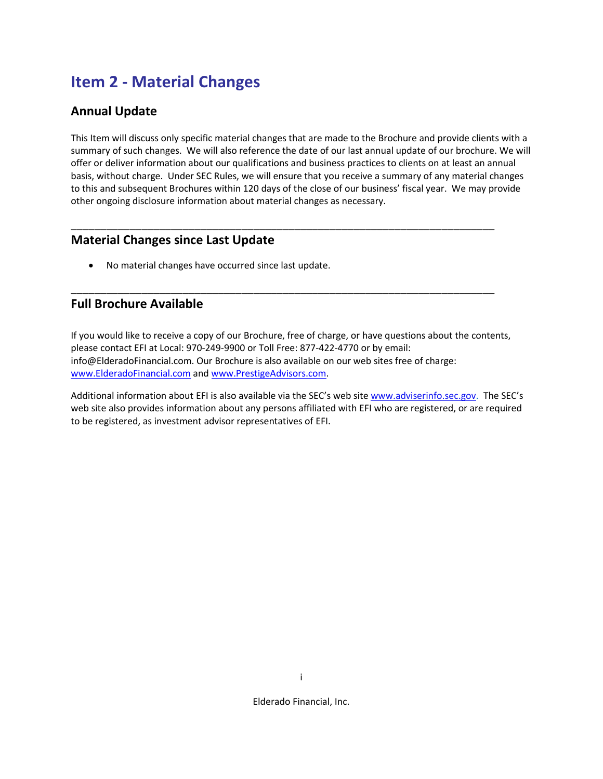# **Item 2 - Material Changes**

## **Annual Update**

This Item will discuss only specific material changes that are made to the Brochure and provide clients with a summary of such changes. We will also reference the date of our last annual update of our brochure. We will offer or deliver information about our qualifications and business practices to clients on at least an annual basis, without charge. Under SEC Rules, we will ensure that you receive a summary of any material changes to this and subsequent Brochures within 120 days of the close of our business' fiscal year. We may provide other ongoing disclosure information about material changes as necessary.

\_\_\_\_\_\_\_\_\_\_\_\_\_\_\_\_\_\_\_\_\_\_\_\_\_\_\_\_\_\_\_\_\_\_\_\_\_\_\_\_\_\_\_\_\_\_\_\_\_\_\_\_\_\_\_\_\_\_\_\_\_\_\_\_\_\_\_\_\_\_\_\_

\_\_\_\_\_\_\_\_\_\_\_\_\_\_\_\_\_\_\_\_\_\_\_\_\_\_\_\_\_\_\_\_\_\_\_\_\_\_\_\_\_\_\_\_\_\_\_\_\_\_\_\_\_\_\_\_\_\_\_\_\_\_\_\_\_\_\_\_\_\_\_\_

### **Material Changes since Last Update**

• No material changes have occurred since last update.

### **Full Brochure Available**

If you would like to receive a copy of our Brochure, free of charge, or have questions about the contents, please contact EFI at Local: 970-249-9900 or Toll Free: 877-422-4770 or by email: info@ElderadoFinancial.com. Our Brochure is also available on our web sites free of charge: [www.ElderadoFinancial.com](http://www.elderadofinancial.com/) an[d www.PrestigeAdvisors.com.](http://www.prestigeadvisors.com/)

Additional information about EFI is also available via the SEC's web site [www.adviserinfo.sec.gov.](http://www.adviserinfo.sec.gov/) The SEC's web site also provides information about any persons affiliated with EFI who are registered, or are required to be registered, as investment advisor representatives of EFI.

Elderado Financial, Inc.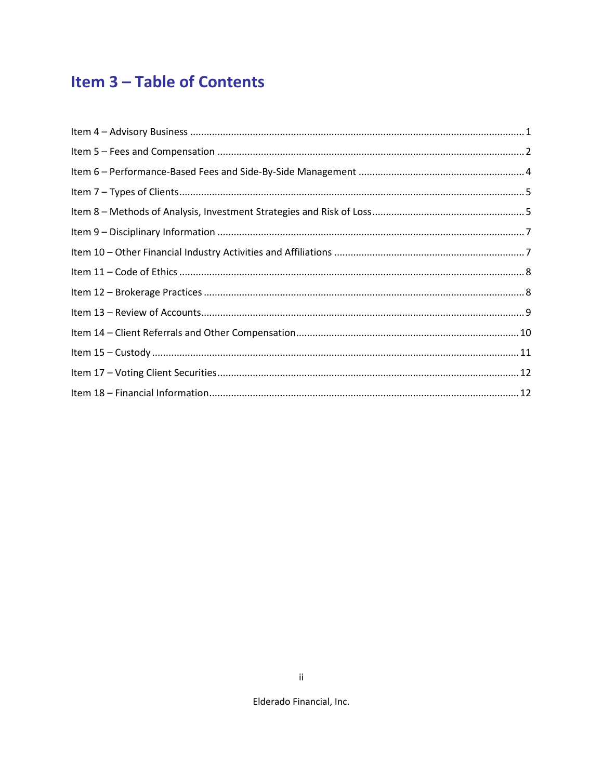# **Item 3-Table of Contents**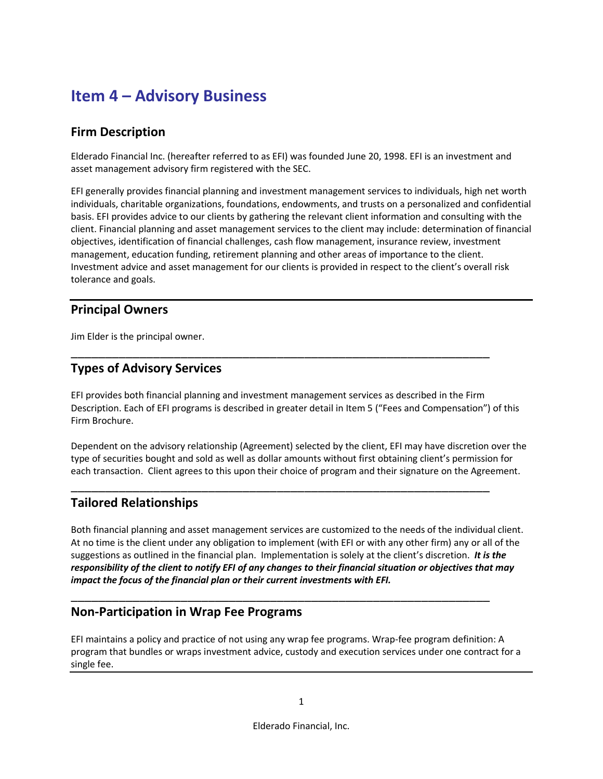# <span id="page-3-0"></span>**Item 4 – Advisory Business**

## **Firm Description**

Elderado Financial Inc. (hereafter referred to as EFI) was founded June 20, 1998. EFI is an investment and asset management advisory firm registered with the SEC.

EFI generally provides financial planning and investment management services to individuals, high net worth individuals, charitable organizations, foundations, endowments, and trusts on a personalized and confidential basis. EFI provides advice to our clients by gathering the relevant client information and consulting with the client. Financial planning and asset management services to the client may include: determination of financial objectives, identification of financial challenges, cash flow management, insurance review, investment management, education funding, retirement planning and other areas of importance to the client. Investment advice and asset management for our clients is provided in respect to the client's overall risk tolerance and goals.

## **Principal Owners**

Jim Elder is the principal owner.

## **Types of Advisory Services**

EFI provides both financial planning and investment management services as described in the Firm Description. Each of EFI programs is described in greater detail in Item 5 ("Fees and Compensation") of this Firm Brochure.

\_\_\_\_\_\_\_\_\_\_\_\_\_\_\_\_\_\_\_\_\_\_\_\_\_\_\_\_\_\_\_\_\_\_\_\_\_\_\_\_\_\_\_\_\_\_\_\_\_\_\_\_\_\_\_\_\_\_\_\_\_

Dependent on the advisory relationship (Agreement) selected by the client, EFI may have discretion over the type of securities bought and sold as well as dollar amounts without first obtaining client's permission for each transaction. Client agrees to this upon their choice of program and their signature on the Agreement.

\_\_\_\_\_\_\_\_\_\_\_\_\_\_\_\_\_\_\_\_\_\_\_\_\_\_\_\_\_\_\_\_\_\_\_\_\_\_\_\_\_\_\_\_\_\_\_\_\_\_\_\_\_\_\_\_\_\_\_\_\_

\_\_\_\_\_\_\_\_\_\_\_\_\_\_\_\_\_\_\_\_\_\_\_\_\_\_\_\_\_\_\_\_\_\_\_\_\_\_\_\_\_\_\_\_\_\_\_\_\_\_\_\_\_\_\_\_\_\_\_\_\_

## **Tailored Relationships**

Both financial planning and asset management services are customized to the needs of the individual client. At no time is the client under any obligation to implement (with EFI or with any other firm) any or all of the suggestions as outlined in the financial plan. Implementation is solely at the client's discretion. *It is the responsibility of the client to notify EFI of any changes to their financial situation or objectives that may impact the focus of the financial plan or their current investments with EFI.*

## **Non-Participation in Wrap Fee Programs**

EFI maintains a policy and practice of not using any wrap fee programs. Wrap-fee program definition: A program that bundles or wraps investment advice, custody and execution services under one contract for a single fee.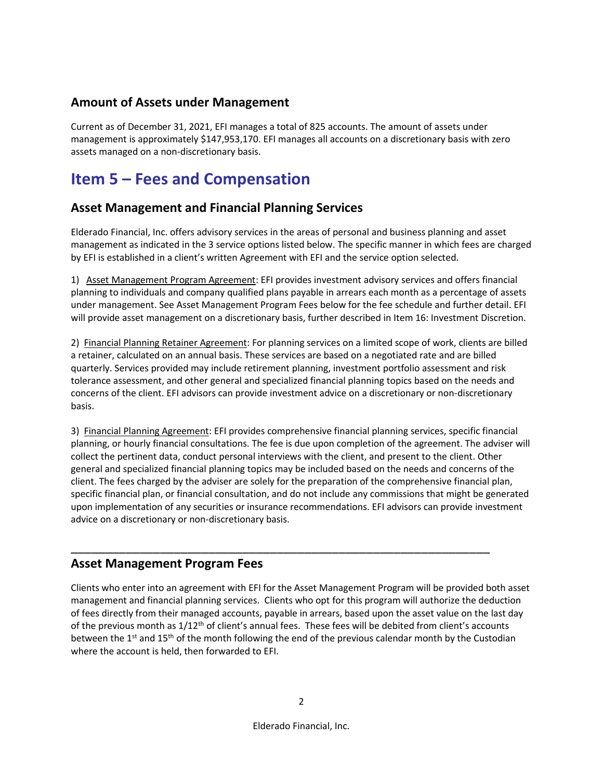## **Amount of Assets under Management**

<span id="page-4-0"></span>Current as of December 31, 2021, EFI manages a total of 825 accounts. The amount of assets under management is approximately \$147,953,170. EFI manages all accounts on a discretionary basis with zero assets managed on a non-discretionary basis.

# **Item 5 – Fees and Compensation**

## **Asset Management and Financial Planning Services**

Elderado Financial, Inc. offers advisory services in the areas of personal and business planning and asset management as indicated in the 3 service options listed below. The specific manner in which fees are charged by EFI is established in a client's written Agreement with EFI and the service option selected.

1) Asset Management Program Agreement: EFI provides investment advisory services and offers financial planning to individuals and company qualified plans payable in arrears each month as a percentage of assets under management. See Asset Management Program Fees below for the fee schedule and further detail. EFI will provide asset management on a discretionary basis, further described in Item 16: Investment Discretion.

2) Financial Planning Retainer Agreement: For planning services on a limited scope of work, clients are billed a retainer, calculated on an annual basis. These services are based on a negotiated rate and are billed quarterly. Services provided may include retirement planning, investment portfolio assessment and risk tolerance assessment, and other general and specialized financial planning topics based on the needs and concerns of the client. EFI advisors can provide investment advice on a discretionary or non-discretionary basis.

3) Financial Planning Agreement: EFI provides comprehensive financial planning services, specific financial planning, or hourly financial consultations. The fee is due upon completion of the agreement. The adviser will collect the pertinent data, conduct personal interviews with the client, and present to the client. Other general and specialized financial planning topics may be included based on the needs and concerns of the client. The fees charged by the adviser are solely for the preparation of the comprehensive financial plan, specific financial plan, or financial consultation, and do not include any commissions that might be generated upon implementation of any securities or insurance recommendations. EFI advisors can provide investment advice on a discretionary or non-discretionary basis.

## **Asset Management Program Fees**

Clients who enter into an agreement with EFI for the Asset Management Program will be provided both asset management and financial planning services. Clients who opt for this program will authorize the deduction of fees directly from their managed accounts, payable in arrears, based upon the asset value on the last day of the previous month as  $1/12$ <sup>th</sup> of client's annual fees. These fees will be debited from client's accounts between the 1<sup>st</sup> and 15<sup>th</sup> of the month following the end of the previous calendar month by the Custodian where the account is held, then forwarded to EFI.

\_\_\_\_\_\_\_\_\_\_\_\_\_\_\_\_\_\_\_\_\_\_\_\_\_\_\_\_\_\_\_\_\_\_\_\_\_\_\_\_\_\_\_\_\_\_\_\_\_\_\_\_\_\_\_\_\_\_\_\_\_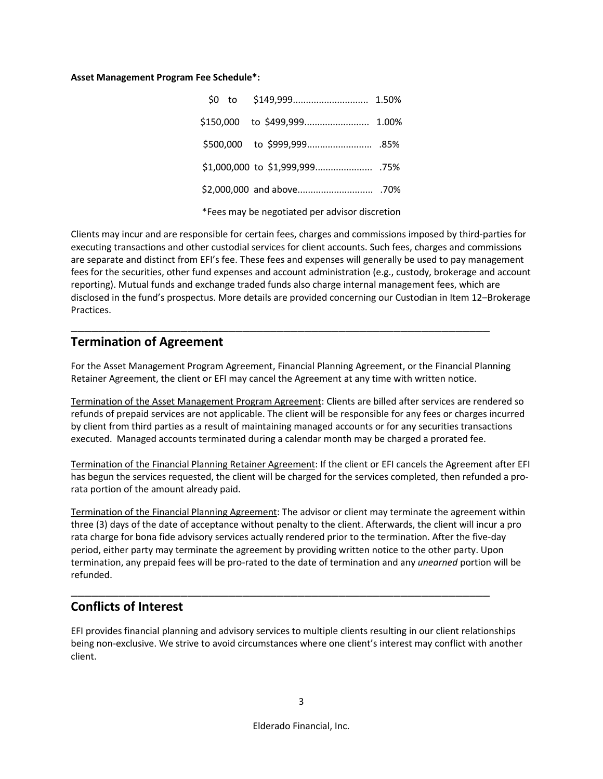#### **Asset Management Program Fee Schedule\*:**

|                                                | \$150,000 to \$499,999 1.00% |  |  |
|------------------------------------------------|------------------------------|--|--|
|                                                |                              |  |  |
|                                                |                              |  |  |
|                                                |                              |  |  |
| *Fees may be negotiated per advisor discretion |                              |  |  |

Clients may incur and are responsible for certain fees, charges and commissions imposed by third-parties for executing transactions and other custodial services for client accounts. Such fees, charges and commissions are separate and distinct from EFI's fee. These fees and expenses will generally be used to pay management fees for the securities, other fund expenses and account administration (e.g., custody, brokerage and account reporting). Mutual funds and exchange traded funds also charge internal management fees, which are disclosed in the fund's prospectus. More details are provided concerning our Custodian in Item 12–Brokerage Practices.

### **Termination of Agreement**

For the Asset Management Program Agreement, Financial Planning Agreement, or the Financial Planning Retainer Agreement, the client or EFI may cancel the Agreement at any time with written notice.

\_\_\_\_\_\_\_\_\_\_\_\_\_\_\_\_\_\_\_\_\_\_\_\_\_\_\_\_\_\_\_\_\_\_\_\_\_\_\_\_\_\_\_\_\_\_\_\_\_\_\_\_\_\_\_\_\_\_\_\_\_

Termination of the Asset Management Program Agreement: Clients are billed after services are rendered so refunds of prepaid services are not applicable. The client will be responsible for any fees or charges incurred by client from third parties as a result of maintaining managed accounts or for any securities transactions executed. Managed accounts terminated during a calendar month may be charged a prorated fee.

Termination of the Financial Planning Retainer Agreement: If the client or EFI cancels the Agreement after EFI has begun the services requested, the client will be charged for the services completed, then refunded a prorata portion of the amount already paid.

Termination of the Financial Planning Agreement: The advisor or client may terminate the agreement within three (3) days of the date of acceptance without penalty to the client. Afterwards, the client will incur a pro rata charge for bona fide advisory services actually rendered prior to the termination. After the five-day period, either party may terminate the agreement by providing written notice to the other party. Upon termination, any prepaid fees will be pro-rated to the date of termination and any *unearned* portion will be refunded.

\_\_\_\_\_\_\_\_\_\_\_\_\_\_\_\_\_\_\_\_\_\_\_\_\_\_\_\_\_\_\_\_\_\_\_\_\_\_\_\_\_\_\_\_\_\_\_\_\_\_\_\_\_\_\_\_\_\_\_\_\_

## **Conflicts of Interest**

EFI provides financial planning and advisory services to multiple clients resulting in our client relationships being non-exclusive. We strive to avoid circumstances where one client's interest may conflict with another client.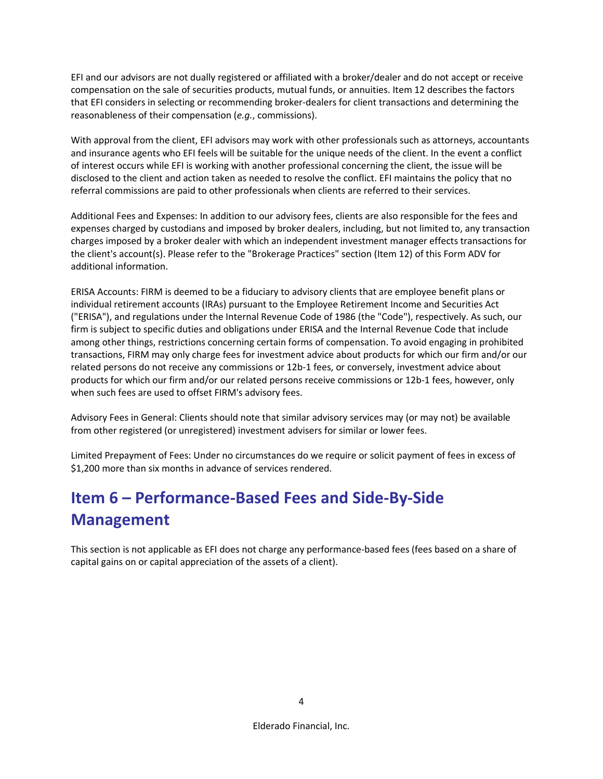EFI and our advisors are not dually registered or affiliated with a broker/dealer and do not accept or receive compensation on the sale of securities products, mutual funds, or annuities. Item 12 describes the factors that EFI considers in selecting or recommending broker-dealers for client transactions and determining the reasonableness of their compensation (*e.g.*, commissions).

With approval from the client, EFI advisors may work with other professionals such as attorneys, accountants and insurance agents who EFI feels will be suitable for the unique needs of the client. In the event a conflict of interest occurs while EFI is working with another professional concerning the client, the issue will be disclosed to the client and action taken as needed to resolve the conflict. EFI maintains the policy that no referral commissions are paid to other professionals when clients are referred to their services.

Additional Fees and Expenses: In addition to our advisory fees, clients are also responsible for the fees and expenses charged by custodians and imposed by broker dealers, including, but not limited to, any transaction charges imposed by a broker dealer with which an independent investment manager effects transactions for the client's account(s). Please refer to the "Brokerage Practices" section (Item 12) of this Form ADV for additional information.

ERISA Accounts: FIRM is deemed to be a fiduciary to advisory clients that are employee benefit plans or individual retirement accounts (IRAs) pursuant to the Employee Retirement Income and Securities Act ("ERISA"), and regulations under the Internal Revenue Code of 1986 (the "Code"), respectively. As such, our firm is subject to specific duties and obligations under ERISA and the Internal Revenue Code that include among other things, restrictions concerning certain forms of compensation. To avoid engaging in prohibited transactions, FIRM may only charge fees for investment advice about products for which our firm and/or our related persons do not receive any commissions or 12b-1 fees, or conversely, investment advice about products for which our firm and/or our related persons receive commissions or 12b-1 fees, however, only when such fees are used to offset FIRM's advisory fees.

Advisory Fees in General: Clients should note that similar advisory services may (or may not) be available from other registered (or unregistered) investment advisers for similar or lower fees.

Limited Prepayment of Fees: Under no circumstances do we require or solicit payment of fees in excess of \$1,200 more than six months in advance of services rendered.

# <span id="page-6-0"></span>**Item 6 – Performance-Based Fees and Side-By-Side Management**

This section is not applicable as EFI does not charge any performance-based fees (fees based on a share of capital gains on or capital appreciation of the assets of a client).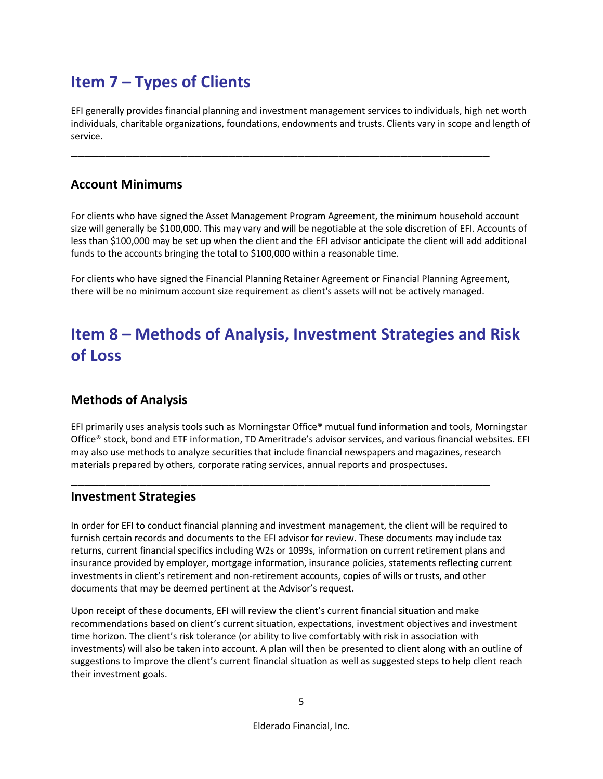# <span id="page-7-0"></span>**Item 7 – Types of Clients**

EFI generally provides financial planning and investment management services to individuals, high net worth individuals, charitable organizations, foundations, endowments and trusts. Clients vary in scope and length of service.

\_\_\_\_\_\_\_\_\_\_\_\_\_\_\_\_\_\_\_\_\_\_\_\_\_\_\_\_\_\_\_\_\_\_\_\_\_\_\_\_\_\_\_\_\_\_\_\_\_\_\_\_\_\_\_\_\_\_\_\_\_

## **Account Minimums**

For clients who have signed the Asset Management Program Agreement, the minimum household account size will generally be \$100,000. This may vary and will be negotiable at the sole discretion of EFI. Accounts of less than \$100,000 may be set up when the client and the EFI advisor anticipate the client will add additional funds to the accounts bringing the total to \$100,000 within a reasonable time.

For clients who have signed the Financial Planning Retainer Agreement or Financial Planning Agreement, there will be no minimum account size requirement as client's assets will not be actively managed.

# <span id="page-7-1"></span>**Item 8 – Methods of Analysis, Investment Strategies and Risk of Loss**

## **Methods of Analysis**

EFI primarily uses analysis tools such as Morningstar Office® mutual fund information and tools, Morningstar Office® stock, bond and ETF information, TD Ameritrade's advisor services, and various financial websites. EFI may also use methods to analyze securities that include financial newspapers and magazines, research materials prepared by others, corporate rating services, annual reports and prospectuses.

## **Investment Strategies**

In order for EFI to conduct financial planning and investment management, the client will be required to furnish certain records and documents to the EFI advisor for review. These documents may include tax returns, current financial specifics including W2s or 1099s, information on current retirement plans and insurance provided by employer, mortgage information, insurance policies, statements reflecting current investments in client's retirement and non-retirement accounts, copies of wills or trusts, and other documents that may be deemed pertinent at the Advisor's request.

\_\_\_\_\_\_\_\_\_\_\_\_\_\_\_\_\_\_\_\_\_\_\_\_\_\_\_\_\_\_\_\_\_\_\_\_\_\_\_\_\_\_\_\_\_\_\_\_\_\_\_\_\_\_\_\_\_\_\_\_\_

Upon receipt of these documents, EFI will review the client's current financial situation and make recommendations based on client's current situation, expectations, investment objectives and investment time horizon. The client's risk tolerance (or ability to live comfortably with risk in association with investments) will also be taken into account. A plan will then be presented to client along with an outline of suggestions to improve the client's current financial situation as well as suggested steps to help client reach their investment goals.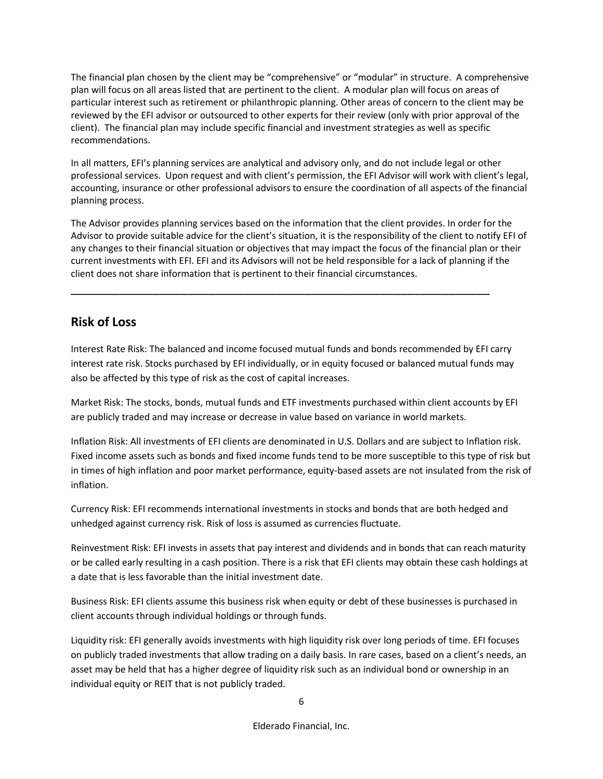The financial plan chosen by the client may be "comprehensive" or "modular" in structure. A comprehensive plan will focus on all areas listed that are pertinent to the client. A modular plan will focus on areas of particular interest such as retirement or philanthropic planning. Other areas of concern to the client may be reviewed by the EFI advisor or outsourced to other experts for their review (only with prior approval of the client). The financial plan may include specific financial and investment strategies as well as specific recommendations.

In all matters, EFI's planning services are analytical and advisory only, and do not include legal or other professional services. Upon request and with client's permission, the EFI Advisor will work with client's legal, accounting, insurance or other professional advisors to ensure the coordination of all aspects of the financial planning process.

The Advisor provides planning services based on the information that the client provides. In order for the Advisor to provide suitable advice for the client's situation, it is the responsibility of the client to notify EFI of any changes to their financial situation or objectives that may impact the focus of the financial plan or their current investments with EFI. EFI and its Advisors will not be held responsible for a lack of planning if the client does not share information that is pertinent to their financial circumstances.

\_\_\_\_\_\_\_\_\_\_\_\_\_\_\_\_\_\_\_\_\_\_\_\_\_\_\_\_\_\_\_\_\_\_\_\_\_\_\_\_\_\_\_\_\_\_\_\_\_\_\_\_\_\_\_\_\_\_\_\_\_

## **Risk of Loss**

Interest Rate Risk: The balanced and income focused mutual funds and bonds recommended by EFI carry interest rate risk. Stocks purchased by EFI individually, or in equity focused or balanced mutual funds may also be affected by this type of risk as the cost of capital increases.

Market Risk: The stocks, bonds, mutual funds and ETF investments purchased within client accounts by EFI are publicly traded and may increase or decrease in value based on variance in world markets.

Inflation Risk: All investments of EFI clients are denominated in U.S. Dollars and are subject to Inflation risk. Fixed income assets such as bonds and fixed income funds tend to be more susceptible to this type of risk but in times of high inflation and poor market performance, equity-based assets are not insulated from the risk of inflation.

Currency Risk: EFI recommends international investments in stocks and bonds that are both hedged and unhedged against currency risk. Risk of loss is assumed as currencies fluctuate.

Reinvestment Risk: EFI invests in assets that pay interest and dividends and in bonds that can reach maturity or be called early resulting in a cash position. There is a risk that EFI clients may obtain these cash holdings at a date that is less favorable than the initial investment date.

Business Risk: EFI clients assume this business risk when equity or debt of these businesses is purchased in client accounts through individual holdings or through funds.

Liquidity risk: EFI generally avoids investments with high liquidity risk over long periods of time. EFI focuses on publicly traded investments that allow trading on a daily basis. In rare cases, based on a client's needs, an asset may be held that has a higher degree of liquidity risk such as an individual bond or ownership in an individual equity or REIT that is not publicly traded.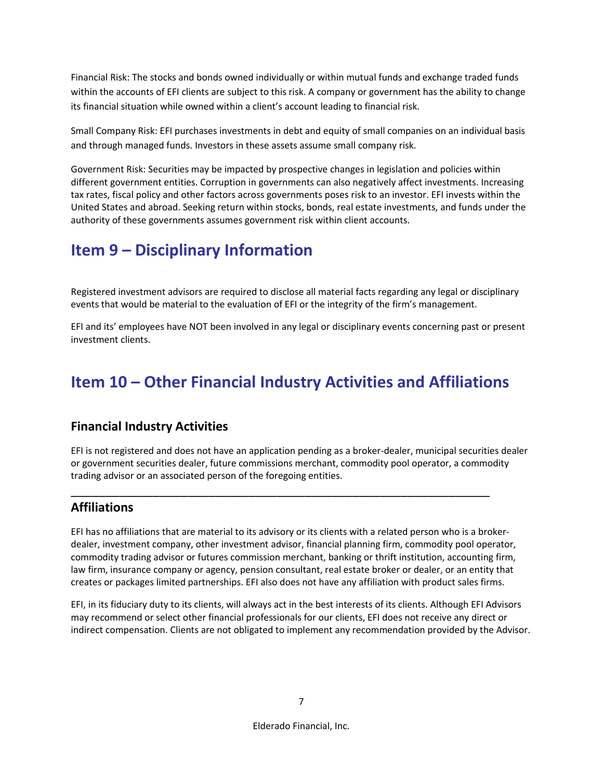Financial Risk: The stocks and bonds owned individually or within mutual funds and exchange traded funds within the accounts of EFI clients are subject to this risk. A company or government has the ability to change its financial situation while owned within a client's account leading to financial risk.

Small Company Risk: EFI purchases investments in debt and equity of small companies on an individual basis and through managed funds. Investors in these assets assume small company risk.

Government Risk: Securities may be impacted by prospective changes in legislation and policies within different government entities. Corruption in governments can also negatively affect investments. Increasing tax rates, fiscal policy and other factors across governments poses risk to an investor. EFI invests within the United States and abroad. Seeking return within stocks, bonds, real estate investments, and funds under the authority of these governments assumes government risk within client accounts.

# <span id="page-9-0"></span>**Item 9 – Disciplinary Information**

Registered investment advisors are required to disclose all material facts regarding any legal or disciplinary events that would be material to the evaluation of EFI or the integrity of the firm's management.

EFI and its' employees have NOT been involved in any legal or disciplinary events concerning past or present investment clients.

## <span id="page-9-1"></span>**Item 10 – Other Financial Industry Activities and Affiliations**

## **Financial Industry Activities**

EFI is not registered and does not have an application pending as a broker-dealer, municipal securities dealer or government securities dealer, future commissions merchant, commodity pool operator, a commodity trading advisor or an associated person of the foregoing entities.

\_\_\_\_\_\_\_\_\_\_\_\_\_\_\_\_\_\_\_\_\_\_\_\_\_\_\_\_\_\_\_\_\_\_\_\_\_\_\_\_\_\_\_\_\_\_\_\_\_\_\_\_\_\_\_\_\_\_\_\_\_

## **Affiliations**

EFI has no affiliations that are material to its advisory or its clients with a related person who is a brokerdealer, investment company, other investment advisor, financial planning firm, commodity pool operator, commodity trading advisor or futures commission merchant, banking or thrift institution, accounting firm, law firm, insurance company or agency, pension consultant, real estate broker or dealer, or an entity that creates or packages limited partnerships. EFI also does not have any affiliation with product sales firms.

EFI, in its fiduciary duty to its clients, will always act in the best interests of its clients. Although EFI Advisors may recommend or select other financial professionals for our clients, EFI does not receive any direct or indirect compensation. Clients are not obligated to implement any recommendation provided by the Advisor.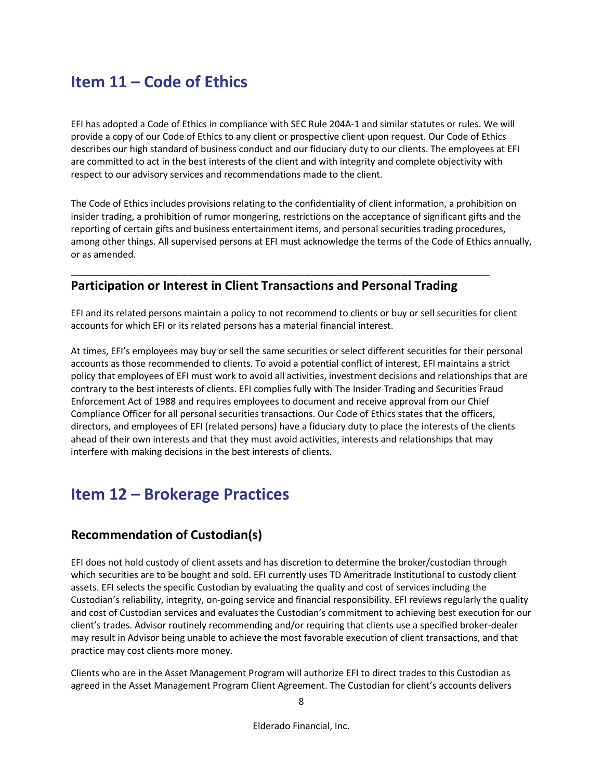## <span id="page-10-0"></span>**Item 11 – Code of Ethics**

EFI has adopted a Code of Ethics in compliance with SEC Rule 204A-1 and similar statutes or rules. We will provide a copy of our Code of Ethics to any client or prospective client upon request. Our Code of Ethics describes our high standard of business conduct and our fiduciary duty to our clients. The employees at EFI are committed to act in the best interests of the client and with integrity and complete objectivity with respect to our advisory services and recommendations made to the client.

The Code of Ethics includes provisions relating to the confidentiality of client information, a prohibition on insider trading, a prohibition of rumor mongering, restrictions on the acceptance of significant gifts and the reporting of certain gifts and business entertainment items, and personal securities trading procedures, among other things. All supervised persons at EFI must acknowledge the terms of the Code of Ethics annually, or as amended.

## **Participation or Interest in Client Transactions and Personal Trading**

\_\_\_\_\_\_\_\_\_\_\_\_\_\_\_\_\_\_\_\_\_\_\_\_\_\_\_\_\_\_\_\_\_\_\_\_\_\_\_\_\_\_\_\_\_\_\_\_\_\_\_\_\_\_\_\_\_\_\_\_\_

EFI and its related persons maintain a policy to not recommend to clients or buy or sell securities for client accounts for which EFI or its related persons has a material financial interest.

At times, EFI's employees may buy or sell the same securities or select different securities for their personal accounts as those recommended to clients. To avoid a potential conflict of interest, EFI maintains a strict policy that employees of EFI must work to avoid all activities, investment decisions and relationships that are contrary to the best interests of clients. EFI complies fully with The Insider Trading and Securities Fraud Enforcement Act of 1988 and requires employees to document and receive approval from our Chief Compliance Officer for all personal securities transactions. Our Code of Ethics states that the officers, directors, and employees of EFI (related persons) have a fiduciary duty to place the interests of the clients ahead of their own interests and that they must avoid activities, interests and relationships that may interfere with making decisions in the best interests of clients.

## <span id="page-10-1"></span>**Item 12 – Brokerage Practices**

## **Recommendation of Custodian(s)**

EFI does not hold custody of client assets and has discretion to determine the broker/custodian through which securities are to be bought and sold. EFI currently uses TD Ameritrade Institutional to custody client assets. EFI selects the specific Custodian by evaluating the quality and cost of services including the Custodian's reliability, integrity, on-going service and financial responsibility. EFI reviews regularly the quality and cost of Custodian services and evaluates the Custodian's commitment to achieving best execution for our client's trades. Advisor routinely recommending and/or requiring that clients use a specified broker-dealer may result in Advisor being unable to achieve the most favorable execution of client transactions, and that practice may cost clients more money.

Clients who are in the Asset Management Program will authorize EFI to direct trades to this Custodian as agreed in the Asset Management Program Client Agreement. The Custodian for client's accounts delivers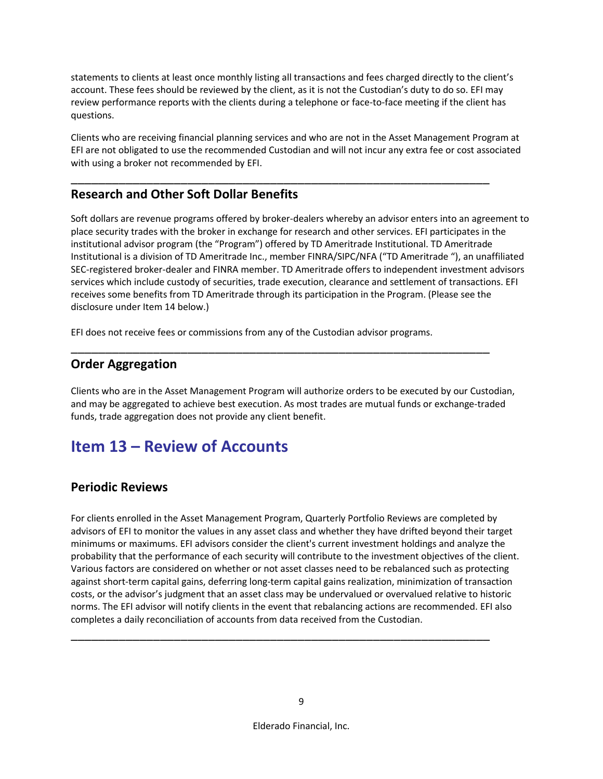statements to clients at least once monthly listing all transactions and fees charged directly to the client's account. These fees should be reviewed by the client, as it is not the Custodian's duty to do so. EFI may review performance reports with the clients during a telephone or face-to-face meeting if the client has questions.

Clients who are receiving financial planning services and who are not in the Asset Management Program at EFI are not obligated to use the recommended Custodian and will not incur any extra fee or cost associated with using a broker not recommended by EFI.

\_\_\_\_\_\_\_\_\_\_\_\_\_\_\_\_\_\_\_\_\_\_\_\_\_\_\_\_\_\_\_\_\_\_\_\_\_\_\_\_\_\_\_\_\_\_\_\_\_\_\_\_\_\_\_\_\_\_\_\_\_

## **Research and Other Soft Dollar Benefits**

Soft dollars are revenue programs offered by broker-dealers whereby an advisor enters into an agreement to place security trades with the broker in exchange for research and other services. EFI participates in the institutional advisor program (the "Program") offered by TD Ameritrade Institutional. TD Ameritrade Institutional is a division of TD Ameritrade Inc., member FINRA/SIPC/NFA ("TD Ameritrade "), an unaffiliated SEC-registered broker-dealer and FINRA member. TD Ameritrade offers to independent investment advisors services which include custody of securities, trade execution, clearance and settlement of transactions. EFI receives some benefits from TD Ameritrade through its participation in the Program. (Please see the disclosure under Item 14 below.)

EFI does not receive fees or commissions from any of the Custodian advisor programs.

## **Order Aggregation**

Clients who are in the Asset Management Program will authorize orders to be executed by our Custodian, and may be aggregated to achieve best execution. As most trades are mutual funds or exchange-traded funds, trade aggregation does not provide any client benefit.

\_\_\_\_\_\_\_\_\_\_\_\_\_\_\_\_\_\_\_\_\_\_\_\_\_\_\_\_\_\_\_\_\_\_\_\_\_\_\_\_\_\_\_\_\_\_\_\_\_\_\_\_\_\_\_\_\_\_\_\_\_

## <span id="page-11-0"></span>**Item 13 – Review of Accounts**

### **Periodic Reviews**

For clients enrolled in the Asset Management Program, Quarterly Portfolio Reviews are completed by advisors of EFI to monitor the values in any asset class and whether they have drifted beyond their target minimums or maximums. EFI advisors consider the client's current investment holdings and analyze the probability that the performance of each security will contribute to the investment objectives of the client. Various factors are considered on whether or not asset classes need to be rebalanced such as protecting against short-term capital gains, deferring long-term capital gains realization, minimization of transaction costs, or the advisor's judgment that an asset class may be undervalued or overvalued relative to historic norms. The EFI advisor will notify clients in the event that rebalancing actions are recommended. EFI also completes a daily reconciliation of accounts from data received from the Custodian.

\_\_\_\_\_\_\_\_\_\_\_\_\_\_\_\_\_\_\_\_\_\_\_\_\_\_\_\_\_\_\_\_\_\_\_\_\_\_\_\_\_\_\_\_\_\_\_\_\_\_\_\_\_\_\_\_\_\_\_\_\_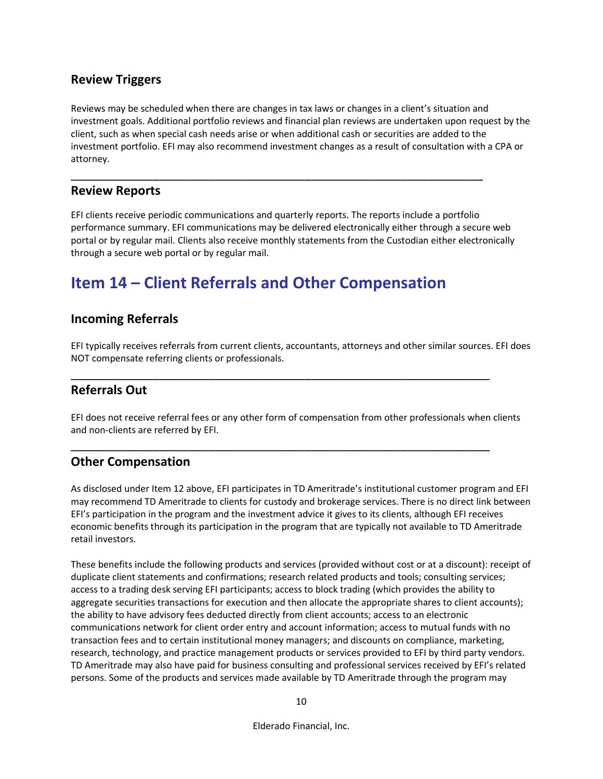## **Review Triggers**

Reviews may be scheduled when there are changes in tax laws or changes in a client's situation and investment goals. Additional portfolio reviews and financial plan reviews are undertaken upon request by the client, such as when special cash needs arise or when additional cash or securities are added to the investment portfolio. EFI may also recommend investment changes as a result of consultation with a CPA or attorney.

### **Review Reports**

EFI clients receive periodic communications and quarterly reports. The reports include a portfolio performance summary. EFI communications may be delivered electronically either through a secure web portal or by regular mail. Clients also receive monthly statements from the Custodian either electronically through a secure web portal or by regular mail.

\_\_\_\_\_\_\_\_\_\_\_\_\_\_\_\_\_\_\_\_\_\_\_\_\_\_\_\_\_\_\_\_\_\_\_\_\_\_\_\_\_\_\_\_\_\_\_\_\_\_\_\_\_\_\_\_\_\_\_\_

## <span id="page-12-0"></span>**Item 14 – Client Referrals and Other Compensation**

### **Incoming Referrals**

EFI typically receives referrals from current clients, accountants, attorneys and other similar sources. EFI does NOT compensate referring clients or professionals.

\_\_\_\_\_\_\_\_\_\_\_\_\_\_\_\_\_\_\_\_\_\_\_\_\_\_\_\_\_\_\_\_\_\_\_\_\_\_\_\_\_\_\_\_\_\_\_\_\_\_\_\_\_\_\_\_\_\_\_\_\_

\_\_\_\_\_\_\_\_\_\_\_\_\_\_\_\_\_\_\_\_\_\_\_\_\_\_\_\_\_\_\_\_\_\_\_\_\_\_\_\_\_\_\_\_\_\_\_\_\_\_\_\_\_\_\_\_\_\_\_\_\_

### **Referrals Out**

EFI does not receive referral fees or any other form of compensation from other professionals when clients and non-clients are referred by EFI.

### **Other Compensation**

As disclosed under Item 12 above, EFI participates in TD Ameritrade's institutional customer program and EFI may recommend TD Ameritrade to clients for custody and brokerage services. There is no direct link between EFI's participation in the program and the investment advice it gives to its clients, although EFI receives economic benefits through its participation in the program that are typically not available to TD Ameritrade retail investors.

These benefits include the following products and services (provided without cost or at a discount): receipt of duplicate client statements and confirmations; research related products and tools; consulting services; access to a trading desk serving EFI participants; access to block trading (which provides the ability to aggregate securities transactions for execution and then allocate the appropriate shares to client accounts); the ability to have advisory fees deducted directly from client accounts; access to an electronic communications network for client order entry and account information; access to mutual funds with no transaction fees and to certain institutional money managers; and discounts on compliance, marketing, research, technology, and practice management products or services provided to EFI by third party vendors. TD Ameritrade may also have paid for business consulting and professional services received by EFI's related persons. Some of the products and services made available by TD Ameritrade through the program may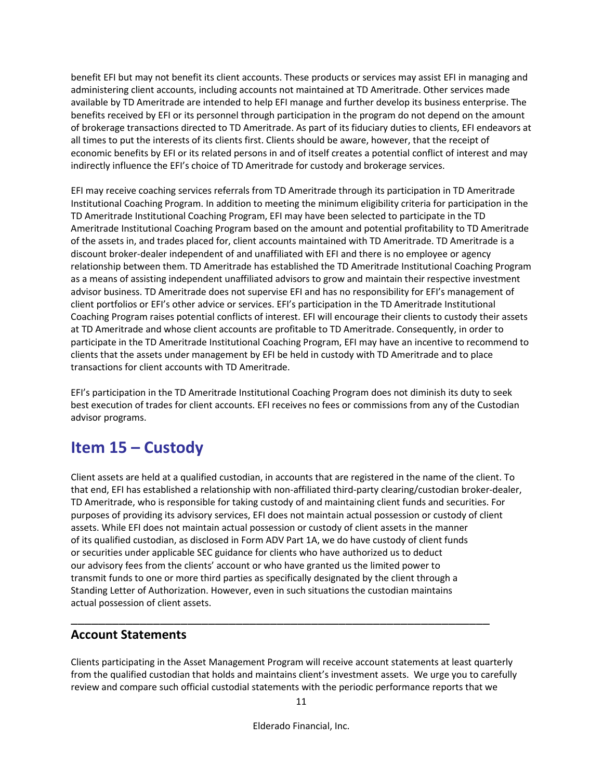benefit EFI but may not benefit its client accounts. These products or services may assist EFI in managing and administering client accounts, including accounts not maintained at TD Ameritrade. Other services made available by TD Ameritrade are intended to help EFI manage and further develop its business enterprise. The benefits received by EFI or its personnel through participation in the program do not depend on the amount of brokerage transactions directed to TD Ameritrade. As part of its fiduciary duties to clients, EFI endeavors at all times to put the interests of its clients first. Clients should be aware, however, that the receipt of economic benefits by EFI or its related persons in and of itself creates a potential conflict of interest and may indirectly influence the EFI's choice of TD Ameritrade for custody and brokerage services.

EFI may receive coaching services referrals from TD Ameritrade through its participation in TD Ameritrade Institutional Coaching Program. In addition to meeting the minimum eligibility criteria for participation in the TD Ameritrade Institutional Coaching Program, EFI may have been selected to participate in the TD Ameritrade Institutional Coaching Program based on the amount and potential profitability to TD Ameritrade of the assets in, and trades placed for, client accounts maintained with TD Ameritrade. TD Ameritrade is a discount broker-dealer independent of and unaffiliated with EFI and there is no employee or agency relationship between them. TD Ameritrade has established the TD Ameritrade Institutional Coaching Program as a means of assisting independent unaffiliated advisors to grow and maintain their respective investment advisor business. TD Ameritrade does not supervise EFI and has no responsibility for EFI's management of client portfolios or EFI's other advice or services. EFI's participation in the TD Ameritrade Institutional Coaching Program raises potential conflicts of interest. EFI will encourage their clients to custody their assets at TD Ameritrade and whose client accounts are profitable to TD Ameritrade. Consequently, in order to participate in the TD Ameritrade Institutional Coaching Program, EFI may have an incentive to recommend to clients that the assets under management by EFI be held in custody with TD Ameritrade and to place transactions for client accounts with TD Ameritrade.

EFI's participation in the TD Ameritrade Institutional Coaching Program does not diminish its duty to seek best execution of trades for client accounts. EFI receives no fees or commissions from any of the Custodian advisor programs.

## <span id="page-13-0"></span>**Item 15 – Custody**

Client assets are held at a qualified custodian, in accounts that are registered in the name of the client. To that end, EFI has established a relationship with non-affiliated third-party clearing/custodian broker-dealer, TD Ameritrade, who is responsible for taking custody of and maintaining client funds and securities. For purposes of providing its advisory services, EFI does not maintain actual possession or custody of client assets. While EFI does not maintain actual possession or custody of client assets in the manner of its qualified custodian, as disclosed in Form ADV Part 1A, we do have custody of client funds or securities under applicable SEC guidance for clients who have authorized us to deduct our advisory fees from the clients' account or who have granted us the limited power to transmit funds to one or more third parties as specifically designated by the client through a Standing Letter of Authorization. However, even in such situations the custodian maintains actual possession of client assets.

## **Account Statements**

Clients participating in the Asset Management Program will receive account statements at least quarterly from the qualified custodian that holds and maintains client's investment assets. We urge you to carefully review and compare such official custodial statements with the periodic performance reports that we

\_\_\_\_\_\_\_\_\_\_\_\_\_\_\_\_\_\_\_\_\_\_\_\_\_\_\_\_\_\_\_\_\_\_\_\_\_\_\_\_\_\_\_\_\_\_\_\_\_\_\_\_\_\_\_\_\_\_\_\_\_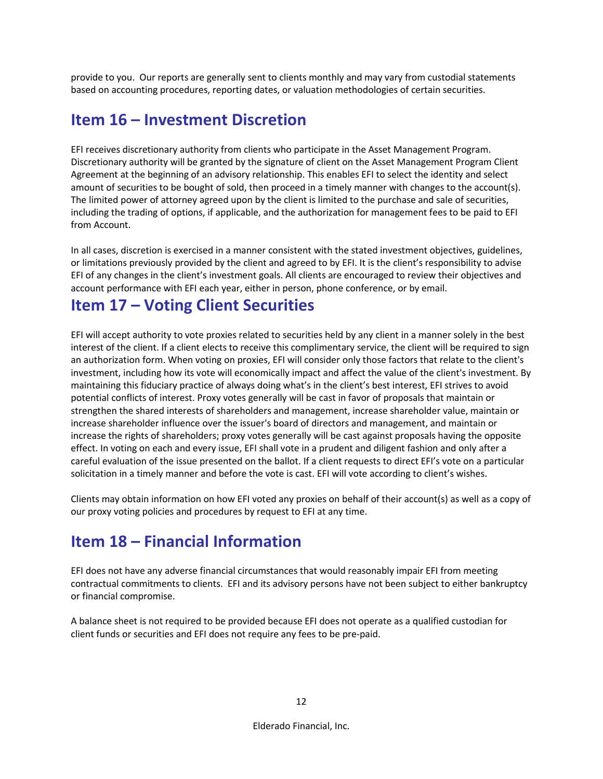provide to you. Our reports are generally sent to clients monthly and may vary from custodial statements based on accounting procedures, reporting dates, or valuation methodologies of certain securities.

## **Item 16 – Investment Discretion**

EFI receives discretionary authority from clients who participate in the Asset Management Program. Discretionary authority will be granted by the signature of client on the Asset Management Program Client Agreement at the beginning of an advisory relationship. This enables EFI to select the identity and select amount of securities to be bought of sold, then proceed in a timely manner with changes to the account(s). The limited power of attorney agreed upon by the client is limited to the purchase and sale of securities, including the trading of options, if applicable, and the authorization for management fees to be paid to EFI from Account.

In all cases, discretion is exercised in a manner consistent with the stated investment objectives, guidelines, or limitations previously provided by the client and agreed to by EFI. It is the client's responsibility to advise EFI of any changes in the client's investment goals. All clients are encouraged to review their objectives and account performance with EFI each year, either in person, phone conference, or by email.

## <span id="page-14-0"></span>**Item 17 – Voting Client Securities**

EFI will accept authority to vote proxies related to securities held by any client in a manner solely in the best interest of the client. If a client elects to receive this complimentary service, the client will be required to sign an authorization form. When voting on proxies, EFI will consider only those factors that relate to the client's investment, including how its vote will economically impact and affect the value of the client's investment. By maintaining this fiduciary practice of always doing what's in the client's best interest, EFI strives to avoid potential conflicts of interest. Proxy votes generally will be cast in favor of proposals that maintain or strengthen the shared interests of shareholders and management, increase shareholder value, maintain or increase shareholder influence over the issuer's board of directors and management, and maintain or increase the rights of shareholders; proxy votes generally will be cast against proposals having the opposite effect. In voting on each and every issue, EFI shall vote in a prudent and diligent fashion and only after a careful evaluation of the issue presented on the ballot. If a client requests to direct EFI's vote on a particular solicitation in a timely manner and before the vote is cast. EFI will vote according to client's wishes.

Clients may obtain information on how EFI voted any proxies on behalf of their account(s) as well as a copy of our proxy voting policies and procedures by request to EFI at any time.

# <span id="page-14-1"></span>**Item 18 – Financial Information**

EFI does not have any adverse financial circumstances that would reasonably impair EFI from meeting contractual commitments to clients. EFI and its advisory persons have not been subject to either bankruptcy or financial compromise.

A balance sheet is not required to be provided because EFI does not operate as a qualified custodian for client funds or securities and EFI does not require any fees to be pre-paid.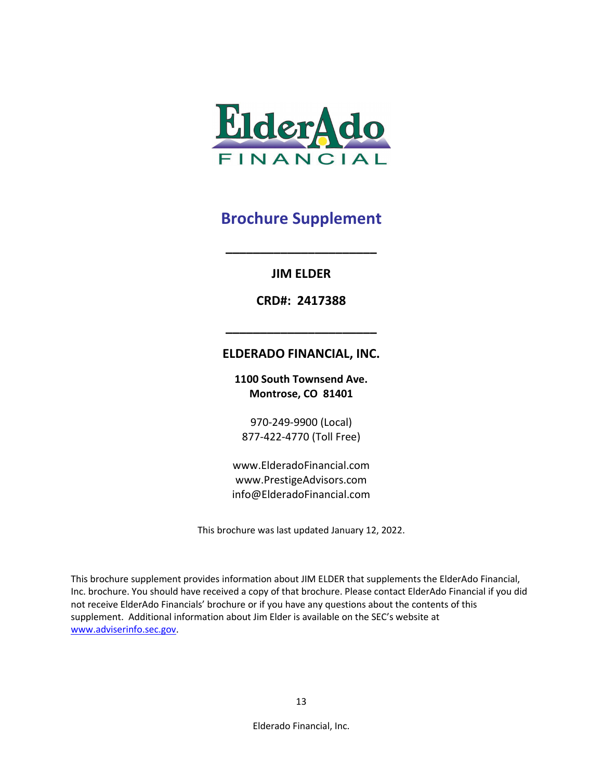

### **JIM ELDER**

**\_\_\_\_\_\_\_\_\_\_\_\_\_\_\_\_\_\_\_\_\_\_**

**CRD#: 2417388**

### **ELDERADO FINANCIAL, INC.**

**\_\_\_\_\_\_\_\_\_\_\_\_\_\_\_\_\_\_\_\_\_\_**

**1100 South Townsend Ave. Montrose, CO 81401**

970-249-9900 (Local) 877-422-4770 (Toll Free)

www.ElderadoFinancial.com www.PrestigeAdvisors.com info@ElderadoFinancial.com

This brochure was last updated January 12, 2022.

This brochure supplement provides information about JIM ELDER that supplements the ElderAdo Financial, Inc. brochure. You should have received a copy of that brochure. Please contact ElderAdo Financial if you did not receive ElderAdo Financials' brochure or if you have any questions about the contents of this supplement. Additional information about Jim Elder is available on the SEC's website at [www.adviserinfo.sec.gov.](http://www.adviserinfo.sec.gov/)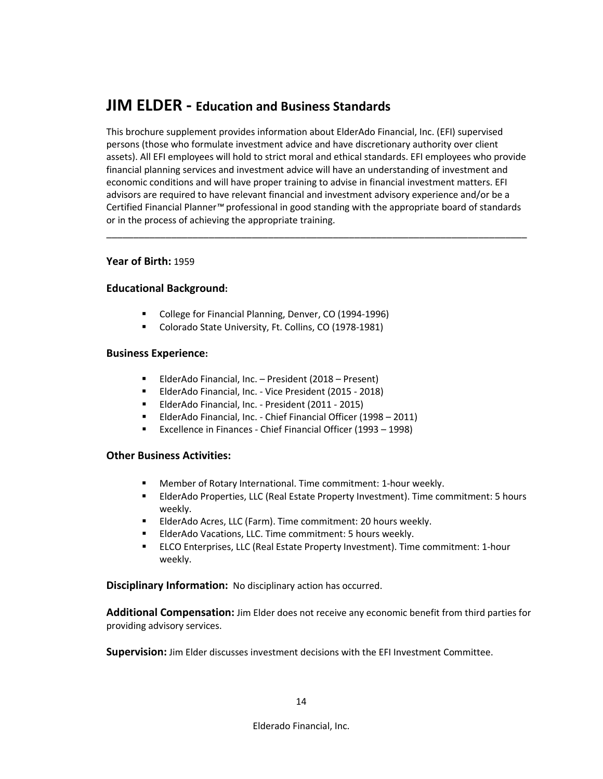## **JIM ELDER - Education and Business Standards**

This brochure supplement provides information about ElderAdo Financial, Inc. (EFI) supervised persons (those who formulate investment advice and have discretionary authority over client assets). All EFI employees will hold to strict moral and ethical standards. EFI employees who provide financial planning services and investment advice will have an understanding of investment and economic conditions and will have proper training to advise in financial investment matters. EFI advisors are required to have relevant financial and investment advisory experience and/or be a Certified Financial Planner*™* professional in good standing with the appropriate board of standards or in the process of achieving the appropriate training.

\_\_\_\_\_\_\_\_\_\_\_\_\_\_\_\_\_\_\_\_\_\_\_\_\_\_\_\_\_\_\_\_\_\_\_\_\_\_\_\_\_\_\_\_\_\_\_\_\_\_\_\_\_\_\_\_\_\_\_\_\_\_\_\_\_\_\_\_\_\_\_\_\_\_\_\_\_\_

#### **Year of Birth:** 1959

#### **Educational Background:**

- **College for Financial Planning, Denver, CO (1994-1996)**
- Colorado State University, Ft. Collins, CO (1978-1981)

#### **Business Experience:**

- ElderAdo Financial, Inc. President (2018 Present)
- ElderAdo Financial, Inc. Vice President (2015 2018)
- ElderAdo Financial, Inc. President (2011 2015)
- ElderAdo Financial, Inc. Chief Financial Officer (1998 2011)
- Excellence in Finances Chief Financial Officer (1993 1998)

#### **Other Business Activities:**

- Member of Rotary International. Time commitment: 1-hour weekly.
- ElderAdo Properties, LLC (Real Estate Property Investment). Time commitment: 5 hours weekly.
- **ElderAdo Acres, LLC (Farm). Time commitment: 20 hours weekly.**
- ElderAdo Vacations, LLC. Time commitment: 5 hours weekly.
- ELCO Enterprises, LLC (Real Estate Property Investment). Time commitment: 1-hour weekly.

**Disciplinary Information:** No disciplinary action has occurred.

**Additional Compensation:** Jim Elder does not receive any economic benefit from third parties for providing advisory services.

**Supervision:** Jim Elder discusses investment decisions with the EFI Investment Committee.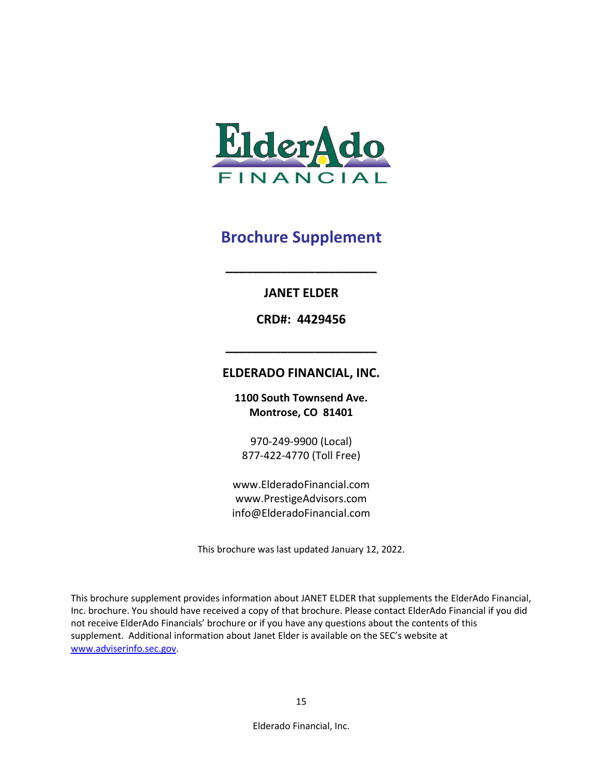

## **JANET ELDER**

**\_\_\_\_\_\_\_\_\_\_\_\_\_\_\_\_\_\_\_\_\_\_**

**CRD#: 4429456**

## **ELDERADO FINANCIAL, INC.**

**\_\_\_\_\_\_\_\_\_\_\_\_\_\_\_\_\_\_\_\_\_\_**

**1100 South Townsend Ave. Montrose, CO 81401**

970-249-9900 (Local) 877-422-4770 (Toll Free)

www.ElderadoFinancial.com www.PrestigeAdvisors.com info@ElderadoFinancial.com

This brochure was last updated January 12, 2022.

This brochure supplement provides information about JANET ELDER that supplements the ElderAdo Financial, Inc. brochure. You should have received a copy of that brochure. Please contact ElderAdo Financial if you did not receive ElderAdo Financials' brochure or if you have any questions about the contents of this supplement. Additional information about Janet Elder is available on the SEC's website at [www.adviserinfo.sec.gov.](http://www.adviserinfo.sec.gov/)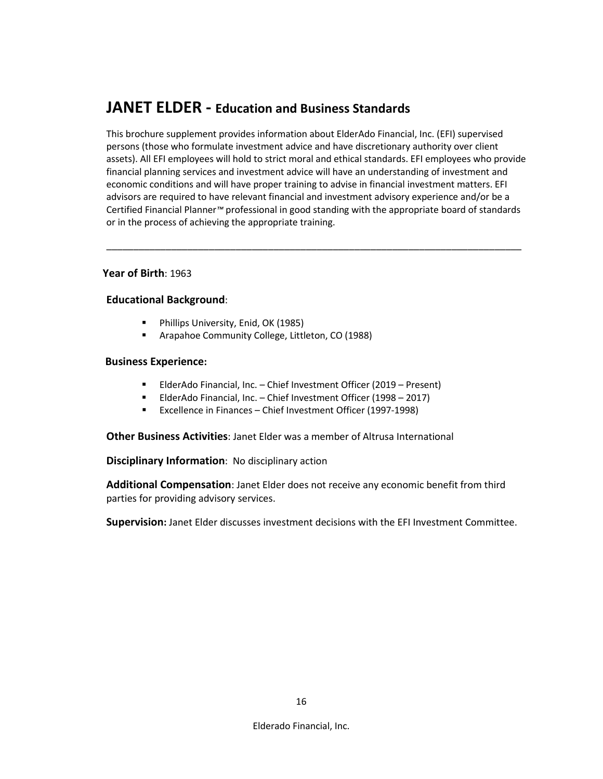## **JANET ELDER - Education and Business Standards**

This brochure supplement provides information about ElderAdo Financial, Inc. (EFI) supervised persons (those who formulate investment advice and have discretionary authority over client assets). All EFI employees will hold to strict moral and ethical standards. EFI employees who provide financial planning services and investment advice will have an understanding of investment and economic conditions and will have proper training to advise in financial investment matters. EFI advisors are required to have relevant financial and investment advisory experience and/or be a Certified Financial Planner*™* professional in good standing with the appropriate board of standards or in the process of achieving the appropriate training.

\_\_\_\_\_\_\_\_\_\_\_\_\_\_\_\_\_\_\_\_\_\_\_\_\_\_\_\_\_\_\_\_\_\_\_\_\_\_\_\_\_\_\_\_\_\_\_\_\_\_\_\_\_\_\_\_\_\_\_\_\_\_\_\_\_\_\_\_\_\_\_\_\_\_\_\_\_

#### **Year of Birth**: 1963

#### **Educational Background**:

- **Phillips University, Enid, OK (1985)**
- Arapahoe Community College, Littleton, CO (1988)

#### **Business Experience:**

- ElderAdo Financial, Inc. Chief Investment Officer (2019 Present)
- ElderAdo Financial, Inc. Chief Investment Officer (1998 2017)
- **Excellence in Finances Chief Investment Officer (1997-1998)**

**Other Business Activities**: Janet Elder was a member of Altrusa International

**Disciplinary Information**: No disciplinary action

**Additional Compensation**: Janet Elder does not receive any economic benefit from third parties for providing advisory services.

**Supervision:** Janet Elder discusses investment decisions with the EFI Investment Committee.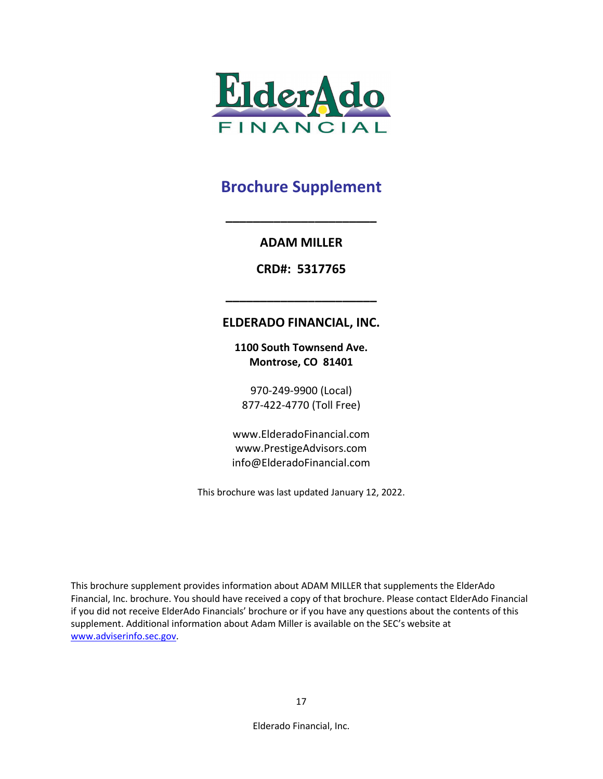

## **ADAM MILLER**

**\_\_\_\_\_\_\_\_\_\_\_\_\_\_\_\_\_\_\_\_\_\_**

**CRD#: 5317765**

## **ELDERADO FINANCIAL, INC.**

**\_\_\_\_\_\_\_\_\_\_\_\_\_\_\_\_\_\_\_\_\_\_**

**1100 South Townsend Ave. Montrose, CO 81401**

970-249-9900 (Local) 877-422-4770 (Toll Free)

www.ElderadoFinancial.com www.PrestigeAdvisors.com info@ElderadoFinancial.com

This brochure was last updated January 12, 2022.

This brochure supplement provides information about ADAM MILLER that supplements the ElderAdo Financial, Inc. brochure. You should have received a copy of that brochure. Please contact ElderAdo Financial if you did not receive ElderAdo Financials' brochure or if you have any questions about the contents of this supplement. Additional information about Adam Miller is available on the SEC's website at [www.adviserinfo.sec.gov.](http://www.adviserinfo.sec.gov/)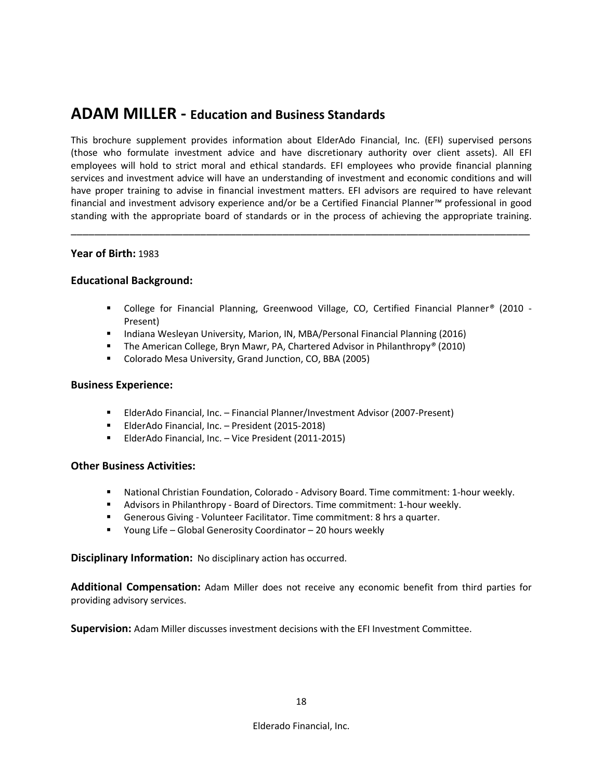## **ADAM MILLER - Education and Business Standards**

This brochure supplement provides information about ElderAdo Financial, Inc. (EFI) supervised persons (those who formulate investment advice and have discretionary authority over client assets). All EFI employees will hold to strict moral and ethical standards. EFI employees who provide financial planning services and investment advice will have an understanding of investment and economic conditions and will have proper training to advise in financial investment matters. EFI advisors are required to have relevant financial and investment advisory experience and/or be a Certified Financial Planner*™* professional in good standing with the appropriate board of standards or in the process of achieving the appropriate training.

\_\_\_\_\_\_\_\_\_\_\_\_\_\_\_\_\_\_\_\_\_\_\_\_\_\_\_\_\_\_\_\_\_\_\_\_\_\_\_\_\_\_\_\_\_\_\_\_\_\_\_\_\_\_\_\_\_\_\_\_\_\_\_\_\_\_\_\_\_\_\_\_\_\_\_\_\_\_

#### **Year of Birth:** 1983

#### **Educational Background:**

- College for Financial Planning, Greenwood Village, CO, Certified Financial Planner*®* (2010 Present)
- **Indiana Wesleyan University, Marion, IN, MBA/Personal Financial Planning (2016)**
- The American College, Bryn Mawr, PA, Chartered Advisor in Philanthropy<sup>®</sup> (2010)
- Colorado Mesa University, Grand Junction, CO, BBA (2005)

#### **Business Experience:**

- ElderAdo Financial, Inc. Financial Planner/Investment Advisor (2007-Present)
- **ElderAdo Financial, Inc. President (2015-2018)**
- ElderAdo Financial, Inc. Vice President (2011-2015)

#### **Other Business Activities:**

- National Christian Foundation, Colorado Advisory Board. Time commitment: 1-hour weekly.
- Advisors in Philanthropy Board of Directors. Time commitment: 1-hour weekly.
- Generous Giving Volunteer Facilitator. Time commitment: 8 hrs a quarter.
- Young Life Global Generosity Coordinator 20 hours weekly

#### **Disciplinary Information:** No disciplinary action has occurred.

**Additional Compensation:** Adam Miller does not receive any economic benefit from third parties for providing advisory services.

**Supervision:** Adam Miller discusses investment decisions with the EFI Investment Committee.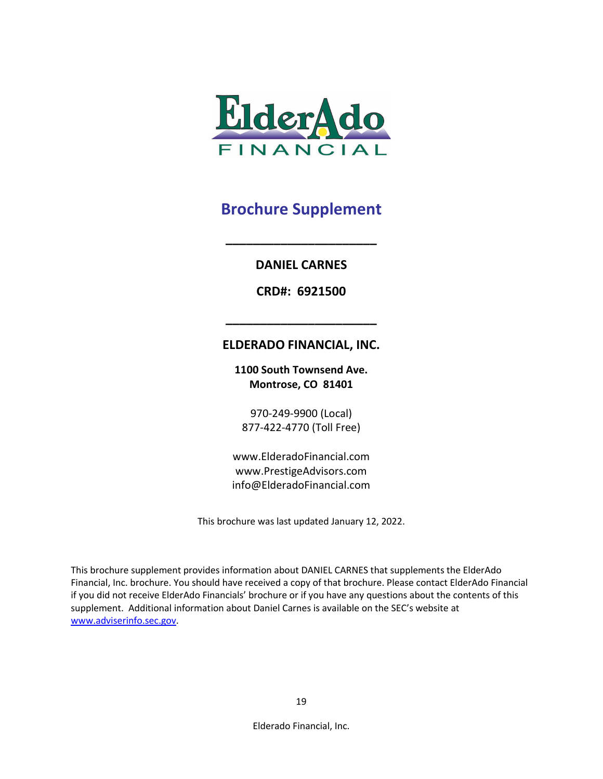

**\_\_\_\_\_\_\_\_\_\_\_\_\_\_\_\_\_\_\_\_\_\_**

**DANIEL CARNES**

**CRD#: 6921500**

### **ELDERADO FINANCIAL, INC.**

**\_\_\_\_\_\_\_\_\_\_\_\_\_\_\_\_\_\_\_\_\_\_**

**1100 South Townsend Ave. Montrose, CO 81401**

970-249-9900 (Local) 877-422-4770 (Toll Free)

www.ElderadoFinancial.com www.PrestigeAdvisors.com info@ElderadoFinancial.com

This brochure was last updated January 12, 2022.

This brochure supplement provides information about DANIEL CARNES that supplements the ElderAdo Financial, Inc. brochure. You should have received a copy of that brochure. Please contact ElderAdo Financial if you did not receive ElderAdo Financials' brochure or if you have any questions about the contents of this supplement. Additional information about Daniel Carnes is available on the SEC's website at [www.adviserinfo.sec.gov.](http://www.adviserinfo.sec.gov/)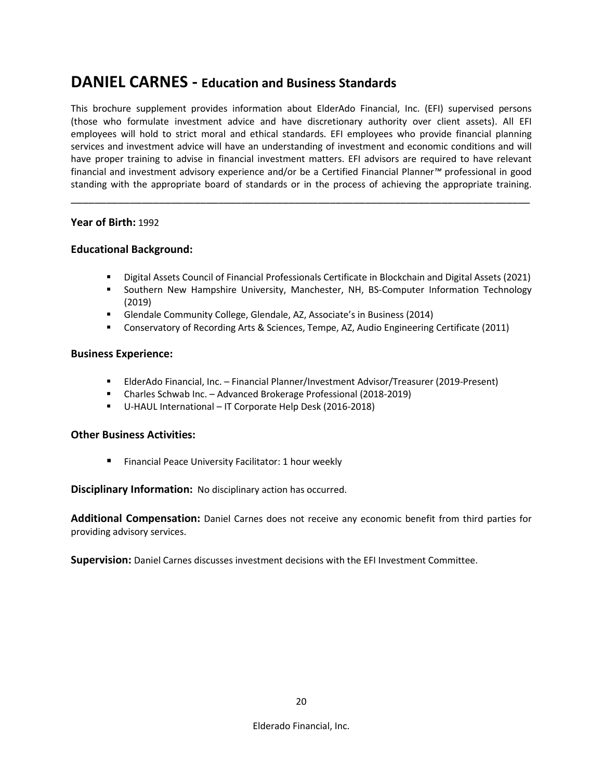## **DANIEL CARNES - Education and Business Standards**

This brochure supplement provides information about ElderAdo Financial, Inc. (EFI) supervised persons (those who formulate investment advice and have discretionary authority over client assets). All EFI employees will hold to strict moral and ethical standards. EFI employees who provide financial planning services and investment advice will have an understanding of investment and economic conditions and will have proper training to advise in financial investment matters. EFI advisors are required to have relevant financial and investment advisory experience and/or be a Certified Financial Planner*™* professional in good standing with the appropriate board of standards or in the process of achieving the appropriate training.

\_\_\_\_\_\_\_\_\_\_\_\_\_\_\_\_\_\_\_\_\_\_\_\_\_\_\_\_\_\_\_\_\_\_\_\_\_\_\_\_\_\_\_\_\_\_\_\_\_\_\_\_\_\_\_\_\_\_\_\_\_\_\_\_\_\_\_\_\_\_\_\_\_\_\_\_\_\_

#### **Year of Birth:** 1992

#### **Educational Background:**

- Digital Assets Council of Financial Professionals Certificate in Blockchain and Digital Assets (2021)
- Southern New Hampshire University, Manchester, NH, BS-Computer Information Technology (2019)
- Glendale Community College, Glendale, AZ, Associate's in Business (2014)
- Conservatory of Recording Arts & Sciences, Tempe, AZ, Audio Engineering Certificate (2011)

#### **Business Experience:**

- ElderAdo Financial, Inc. Financial Planner/Investment Advisor/Treasurer (2019-Present)
- Charles Schwab Inc. Advanced Brokerage Professional (2018-2019)
- U-HAUL International IT Corporate Help Desk (2016-2018)

#### **Other Business Activities:**

**Financial Peace University Facilitator: 1 hour weekly** 

**Disciplinary Information:** No disciplinary action has occurred.

**Additional Compensation:** Daniel Carnes does not receive any economic benefit from third parties for providing advisory services.

**Supervision:** Daniel Carnes discusses investment decisions with the EFI Investment Committee.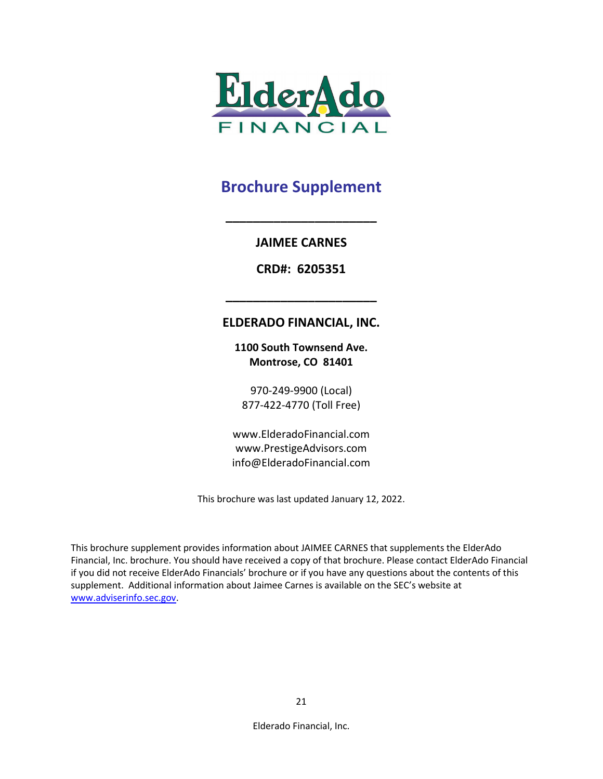

## **JAIMEE CARNES**

**\_\_\_\_\_\_\_\_\_\_\_\_\_\_\_\_\_\_\_\_\_\_**

**CRD#: 6205351**

## **ELDERADO FINANCIAL, INC.**

**\_\_\_\_\_\_\_\_\_\_\_\_\_\_\_\_\_\_\_\_\_\_**

**1100 South Townsend Ave. Montrose, CO 81401**

970-249-9900 (Local) 877-422-4770 (Toll Free)

www.ElderadoFinancial.com www.PrestigeAdvisors.com info@ElderadoFinancial.com

This brochure was last updated January 12, 2022.

This brochure supplement provides information about JAIMEE CARNES that supplements the ElderAdo Financial, Inc. brochure. You should have received a copy of that brochure. Please contact ElderAdo Financial if you did not receive ElderAdo Financials' brochure or if you have any questions about the contents of this supplement. Additional information about Jaimee Carnes is available on the SEC's website at [www.adviserinfo.sec.gov.](http://www.adviserinfo.sec.gov/)